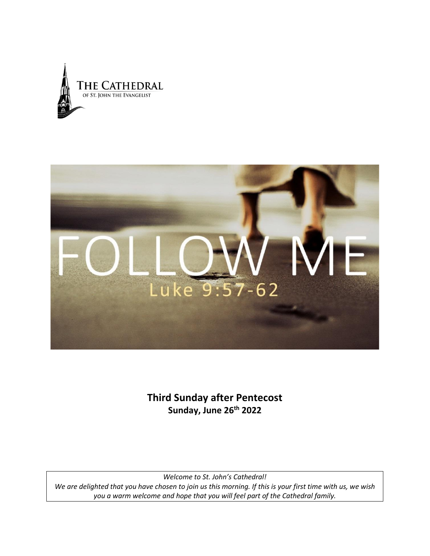



**Third Sunday after Pentecost Sunday, June 26th 2022**

*Welcome to St. John's Cathedral! We are delighted that you have chosen to join us this morning. If this is your first time with us, we wish you a warm welcome and hope that you will feel part of the Cathedral family.*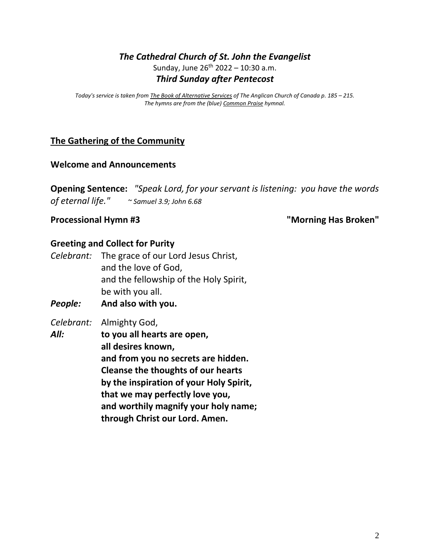# *The Cathedral Church of St. John the Evangelist* Sunday, June  $26^{th}$  2022 – 10:30 a.m. *Third Sunday after Pentecost*

*Today's service is taken from The Book of Alternative Services of The Anglican Church of Canada p. 185 – 215. The hymns are from the (blue) Common Praise hymnal.*

# **The Gathering of the Community**

# **Welcome and Announcements**

**Opening Sentence:** *"Speak Lord, for your servant is listening: you have the words of eternal life." ~ Samuel 3.9; John 6.68* 

## **Processional Hymn #3** The Construction of the Morning Has Broken"

## **Greeting and Collect for Purity**

*Celebrant:* The grace of our Lord Jesus Christ, and the love of God, and the fellowship of the Holy Spirit, be with you all.

# *People:* **And also with you.**

*Celebrant:* Almighty God,

*All:* **to you all hearts are open, all desires known, and from you no secrets are hidden. Cleanse the thoughts of our hearts by the inspiration of your Holy Spirit, that we may perfectly love you, and worthily magnify your holy name; through Christ our Lord. Amen.**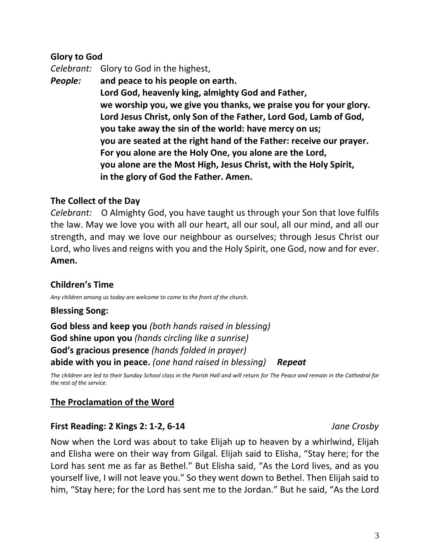## **Glory to God**

*Celebrant:* Glory to God in the highest,

*People:* **and peace to his people on earth. Lord God, heavenly king, almighty God and Father, we worship you, we give you thanks, we praise you for your glory. Lord Jesus Christ, only Son of the Father, Lord God, Lamb of God, you take away the sin of the world: have mercy on us; you are seated at the right hand of the Father: receive our prayer. For you alone are the Holy One, you alone are the Lord, you alone are the Most High, Jesus Christ, with the Holy Spirit, in the glory of God the Father. Amen.**

# **The Collect of the Day**

*Celebrant:* O Almighty God, you have taught us through your Son that love fulfils the law. May we love you with all our heart, all our soul, all our mind, and all our strength, and may we love our neighbour as ourselves; through Jesus Christ our Lord, who lives and reigns with you and the Holy Spirit, one God, now and for ever. **Amen.**

# **Children's Time**

*Any children among us today are welcome to come to the front of the church.*

**Blessing Song:**

**God bless and keep you** *(both hands raised in blessing)* **God shine upon you** *(hands circling like a sunrise)* **God's gracious presence** *(hands folded in prayer)* **abide with you in peace.** *(one hand raised in blessing) Repeat*

*The children are led to their Sunday School class in the Parish Hall and will return for The Peace and remain in the Cathedral for the rest of the service.* 

# **The Proclamation of the Word**

#### **First Reading: 2 Kings 2: 1-2, 6-14** *Jane Crosby*

Now when the Lord was about to take Elijah up to heaven by a whirlwind, Elijah and Elisha were on their way from Gilgal. Elijah said to Elisha, "Stay here; for the Lord has sent me as far as Bethel." But Elisha said, "As the Lord lives, and as you yourself live, I will not leave you." So they went down to Bethel. Then Elijah said to him, "Stay here; for the Lord has sent me to the Jordan." But he said, "As the Lord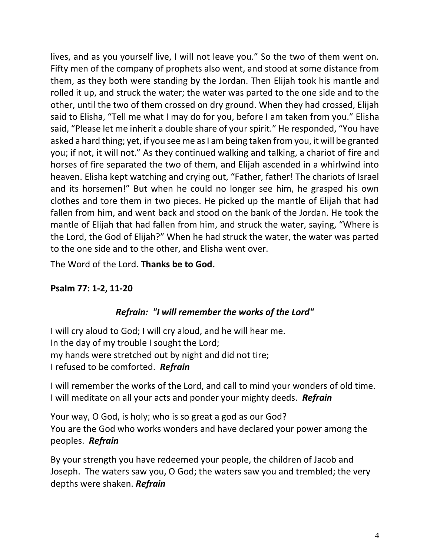lives, and as you yourself live, I will not leave you." So the two of them went on. Fifty men of the company of prophets also went, and stood at some distance from them, as they both were standing by the Jordan. Then Elijah took his mantle and rolled it up, and struck the water; the water was parted to the one side and to the other, until the two of them crossed on dry ground. When they had crossed, Elijah said to Elisha, "Tell me what I may do for you, before I am taken from you." Elisha said, "Please let me inherit a double share of your spirit." He responded, "You have asked a hard thing; yet, if you see me as I am being taken from you, it will be granted you; if not, it will not." As they continued walking and talking, a chariot of fire and horses of fire separated the two of them, and Elijah ascended in a whirlwind into heaven. Elisha kept watching and crying out, "Father, father! The chariots of Israel and its horsemen!" But when he could no longer see him, he grasped his own clothes and tore them in two pieces. He picked up the mantle of Elijah that had fallen from him, and went back and stood on the bank of the Jordan. He took the mantle of Elijah that had fallen from him, and struck the water, saying, "Where is the Lord, the God of Elijah?" When he had struck the water, the water was parted to the one side and to the other, and Elisha went over.

The Word of the Lord. **Thanks be to God.**

# **Psalm 77: 1-2, 11-20**

# *Refrain: "I will remember the works of the Lord"*

I will cry aloud to God; I will cry aloud, and he will hear me. In the day of my trouble I sought the Lord; my hands were stretched out by night and did not tire; I refused to be comforted. *Refrain*

I will remember the works of the Lord, and call to mind your wonders of old time. I will meditate on all your acts and ponder your mighty deeds. *Refrain*

Your way, O God, is holy; who is so great a god as our God? You are the God who works wonders and have declared your power among the peoples. *Refrain*

By your strength you have redeemed your people, the children of Jacob and Joseph. The waters saw you, O God; the waters saw you and trembled; the very depths were shaken. *Refrain*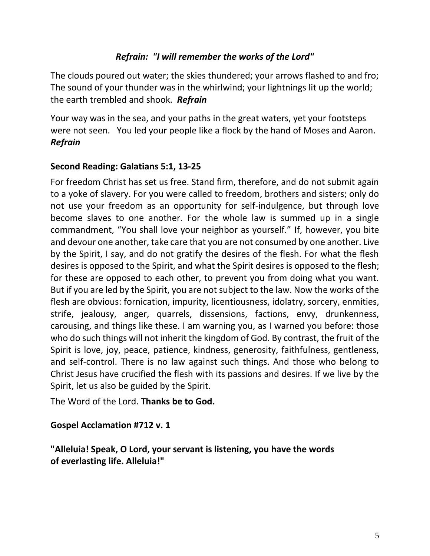# *Refrain: "I will remember the works of the Lord"*

The clouds poured out water; the skies thundered; your arrows flashed to and fro; The sound of your thunder was in the whirlwind; your lightnings lit up the world; the earth trembled and shook. *Refrain*

Your way was in the sea, and your paths in the great waters, yet your footsteps were not seen. You led your people like a flock by the hand of Moses and Aaron. *Refrain*

# **Second Reading: Galatians 5:1, 13-25**

For freedom Christ has set us free. Stand firm, therefore, and do not submit again to a yoke of slavery. For you were called to freedom, brothers and sisters; only do not use your freedom as an opportunity for self-indulgence, but through love become slaves to one another. For the whole law is summed up in a single commandment, "You shall love your neighbor as yourself." If, however, you bite and devour one another, take care that you are not consumed by one another. Live by the Spirit, I say, and do not gratify the desires of the flesh. For what the flesh desires is opposed to the Spirit, and what the Spirit desires is opposed to the flesh; for these are opposed to each other, to prevent you from doing what you want. But if you are led by the Spirit, you are not subject to the law. Now the works of the flesh are obvious: fornication, impurity, licentiousness, idolatry, sorcery, enmities, strife, jealousy, anger, quarrels, dissensions, factions, envy, drunkenness, carousing, and things like these. I am warning you, as I warned you before: those who do such things will not inherit the kingdom of God. By contrast, the fruit of the Spirit is love, joy, peace, patience, kindness, generosity, faithfulness, gentleness, and self-control. There is no law against such things. And those who belong to Christ Jesus have crucified the flesh with its passions and desires. If we live by the Spirit, let us also be guided by the Spirit.

The Word of the Lord. **Thanks be to God.**

# **Gospel Acclamation #712 v. 1**

**"Alleluia! Speak, O Lord, your servant is listening, you have the words of everlasting life. Alleluia!"**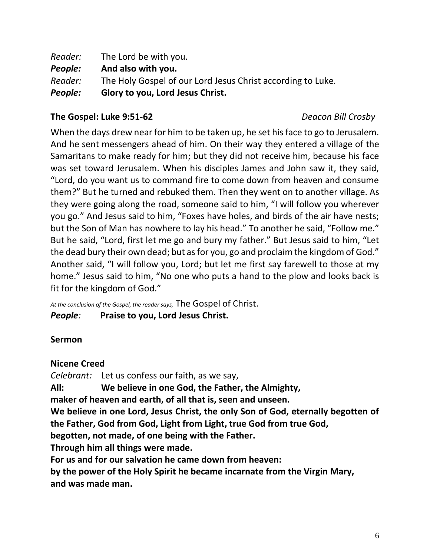| People: | Glory to you, Lord Jesus Christ.                            |
|---------|-------------------------------------------------------------|
| Reader: | The Holy Gospel of our Lord Jesus Christ according to Luke. |
| People: | And also with you.                                          |
| Reader: | The Lord be with you.                                       |

# **The Gospel: Luke 9:51-62** *Deacon Bill Crosby*

When the days drew near for him to be taken up, he set his face to go to Jerusalem. And he sent messengers ahead of him. On their way they entered a village of the Samaritans to make ready for him; but they did not receive him, because his face was set toward Jerusalem. When his disciples James and John saw it, they said, "Lord, do you want us to command fire to come down from heaven and consume them?" But he turned and rebuked them. Then they went on to another village. As they were going along the road, someone said to him, "I will follow you wherever you go." And Jesus said to him, "Foxes have holes, and birds of the air have nests; but the Son of Man has nowhere to lay his head." To another he said, "Follow me." But he said, "Lord, first let me go and bury my father." But Jesus said to him, "Let the dead bury their own dead; but as for you, go and proclaim the kingdom of God." Another said, "I will follow you, Lord; but let me first say farewell to those at my home." Jesus said to him, "No one who puts a hand to the plow and looks back is fit for the kingdom of God."

*At the conclusion of the Gospel, the reader says,* The Gospel of Christ.

*People:* **Praise to you, Lord Jesus Christ.**

# **Sermon**

# **Nicene Creed**

*Celebrant:* Let us confess our faith, as we say,

**All: We believe in one God, the Father, the Almighty,** 

**maker of heaven and earth, of all that is, seen and unseen.**

**We believe in one Lord, Jesus Christ, the only Son of God, eternally begotten of the Father, God from God, Light from Light, true God from true God,**

**begotten, not made, of one being with the Father.**

**Through him all things were made.**

**For us and for our salvation he came down from heaven:**

**by the power of the Holy Spirit he became incarnate from the Virgin Mary, and was made man.**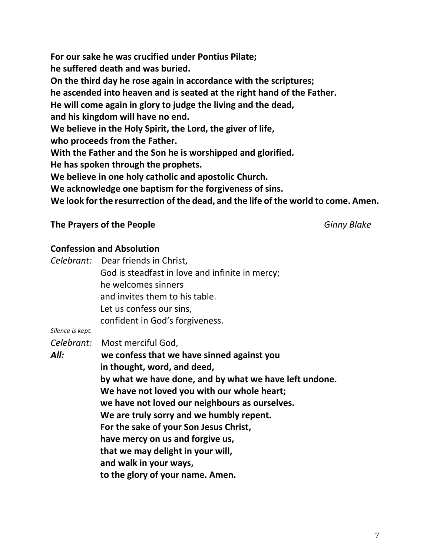**For our sake he was crucified under Pontius Pilate; he suffered death and was buried. On the third day he rose again in accordance with the scriptures; he ascended into heaven and is seated at the right hand of the Father. He will come again in glory to judge the living and the dead, and his kingdom will have no end. We believe in the Holy Spirit, the Lord, the giver of life, who proceeds from the Father. With the Father and the Son he is worshipped and glorified. He has spoken through the prophets. We believe in one holy catholic and apostolic Church. We acknowledge one baptism for the forgiveness of sins.**

**We look for the resurrection of the dead, and the life of the world to come. Amen.**

# **The Prayers of the People** *Ginny Blake*

# **Confession and Absolution**

|                  | Celebrant: Dear friends in Christ,              |
|------------------|-------------------------------------------------|
|                  | God is steadfast in love and infinite in mercy; |
|                  | he welcomes sinners                             |
|                  | and invites them to his table.                  |
|                  | Let us confess our sins,                        |
|                  | confident in God's forgiveness.                 |
| Silence is kept. |                                                 |

*Celebrant:* Most merciful God, *All:* **we confess that we have sinned against you in thought, word, and deed, by what we have done, and by what we have left undone. We have not loved you with our whole heart; we have not loved our neighbours as ourselves. We are truly sorry and we humbly repent. For the sake of your Son Jesus Christ, have mercy on us and forgive us, that we may delight in your will, and walk in your ways, to the glory of your name. Amen.**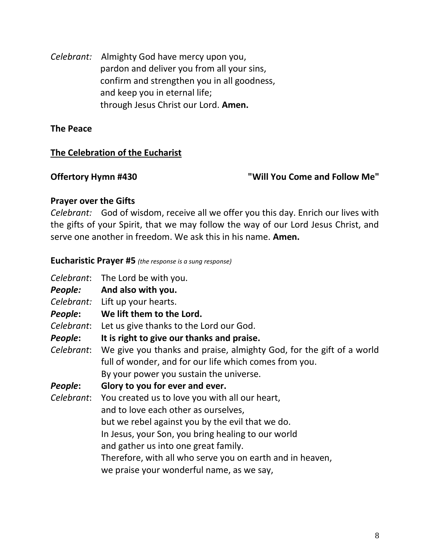*Celebrant:* Almighty God have mercy upon you, pardon and deliver you from all your sins, confirm and strengthen you in all goodness, and keep you in eternal life; through Jesus Christ our Lord. **Amen.**

## **The Peace**

# **The Celebration of the Eucharist**

#### **Offertory Hymn #430 "Will You Come and Follow Me"**

## **Prayer over the Gifts**

*Celebrant:* God of wisdom, receive all we offer you this day. Enrich our lives with the gifts of your Spirit, that we may follow the way of our Lord Jesus Christ, and serve one another in freedom. We ask this in his name. **Amen.**

#### **Eucharistic Prayer #5** *(the response is a sung response)*

| Celebrant: | The Lord be with you.                                                |
|------------|----------------------------------------------------------------------|
| People:    | And also with you.                                                   |
| Celebrant: | Lift up your hearts.                                                 |
| People:    | We lift them to the Lord.                                            |
| Celebrant: | Let us give thanks to the Lord our God.                              |
| People:    | It is right to give our thanks and praise.                           |
| Celebrant: | We give you thanks and praise, almighty God, for the gift of a world |
|            | full of wonder, and for our life which comes from you.               |
|            | By your power you sustain the universe.                              |
| People:    | Glory to you for ever and ever.                                      |
| Celebrant: | You created us to love you with all our heart,                       |
|            | and to love each other as ourselves,                                 |
|            | but we rebel against you by the evil that we do.                     |
|            | In Jesus, your Son, you bring healing to our world                   |
|            | and gather us into one great family.                                 |
|            | Therefore, with all who serve you on earth and in heaven,            |
|            | we praise your wonderful name, as we say,                            |
|            |                                                                      |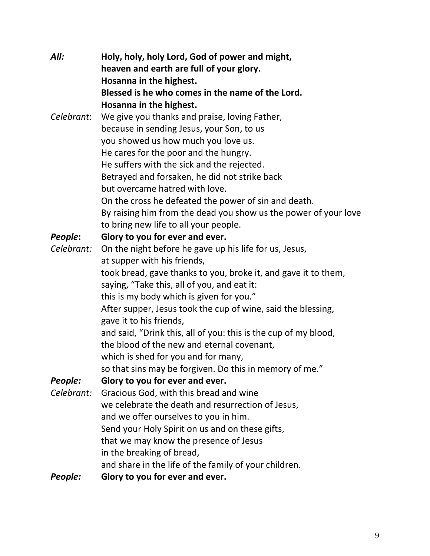| All:       | Holy, holy, holy Lord, God of power and might,                  |
|------------|-----------------------------------------------------------------|
|            | heaven and earth are full of your glory.                        |
|            | Hosanna in the highest.                                         |
|            | Blessed is he who comes in the name of the Lord.                |
|            | Hosanna in the highest.                                         |
| Celebrant: | We give you thanks and praise, loving Father,                   |
|            | because in sending Jesus, your Son, to us                       |
|            | you showed us how much you love us.                             |
|            | He cares for the poor and the hungry.                           |
|            | He suffers with the sick and the rejected.                      |
|            | Betrayed and forsaken, he did not strike back                   |
|            | but overcame hatred with love.                                  |
|            | On the cross he defeated the power of sin and death.            |
|            | By raising him from the dead you show us the power of your love |
|            | to bring new life to all your people.                           |
| People:    | Glory to you for ever and ever.                                 |
| Celebrant: | On the night before he gave up his life for us, Jesus,          |
|            | at supper with his friends,                                     |
|            | took bread, gave thanks to you, broke it, and gave it to them,  |
|            | saying, "Take this, all of you, and eat it:                     |
|            | this is my body which is given for you."                        |
|            | After supper, Jesus took the cup of wine, said the blessing,    |
|            | gave it to his friends,                                         |
|            | and said, "Drink this, all of you: this is the cup of my blood, |
|            | the blood of the new and eternal covenant,                      |
|            | which is shed for you and for many,                             |
|            | so that sins may be forgiven. Do this in memory of me."         |
| People:    | Glory to you for ever and ever.                                 |
| Celebrant: | Gracious God, with this bread and wine                          |
|            | we celebrate the death and resurrection of Jesus,               |
|            | and we offer ourselves to you in him.                           |
|            | Send your Holy Spirit on us and on these gifts,                 |
|            | that we may know the presence of Jesus                          |
|            | in the breaking of bread,                                       |
|            | and share in the life of the family of your children.           |
| People:    | Glory to you for ever and ever.                                 |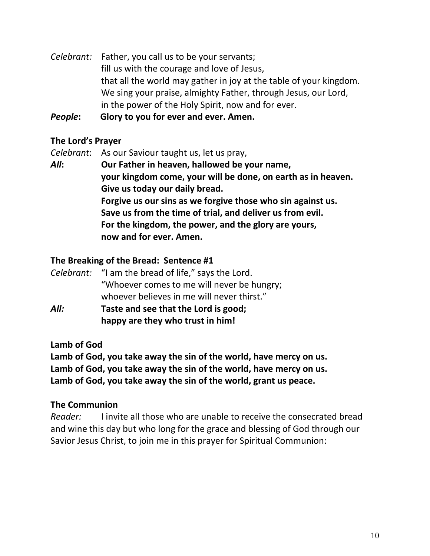*Celebrant:* Father, you call us to be your servants; fill us with the courage and love of Jesus, that all the world may gather in joy at the table of your kingdom. We sing your praise, almighty Father, through Jesus, our Lord, in the power of the Holy Spirit, now and for ever.

*People***: Glory to you for ever and ever. Amen.**

# **The Lord's Prayer**

*Celebrant*: As our Saviour taught us, let us pray,

*All***: Our Father in heaven, hallowed be your name, your kingdom come, your will be done, on earth as in heaven. Give us today our daily bread. Forgive us our sins as we forgive those who sin against us. Save us from the time of trial, and deliver us from evil. For the kingdom, the power, and the glory are yours, now and for ever. Amen.**

# **The Breaking of the Bread: Sentence #1**

- *Celebrant:* "I am the bread of life," says the Lord. "Whoever comes to me will never be hungry; whoever believes in me will never thirst." *All:* **Taste and see that the Lord is good;**
- **happy are they who trust in him!**

**Lamb of God** 

**Lamb of God, you take away the sin of the world, have mercy on us. Lamb of God, you take away the sin of the world, have mercy on us. Lamb of God, you take away the sin of the world, grant us peace.**

# **The Communion**

*Reader:* I invite all those who are unable to receive the consecrated bread and wine this day but who long for the grace and blessing of God through our Savior Jesus Christ, to join me in this prayer for Spiritual Communion: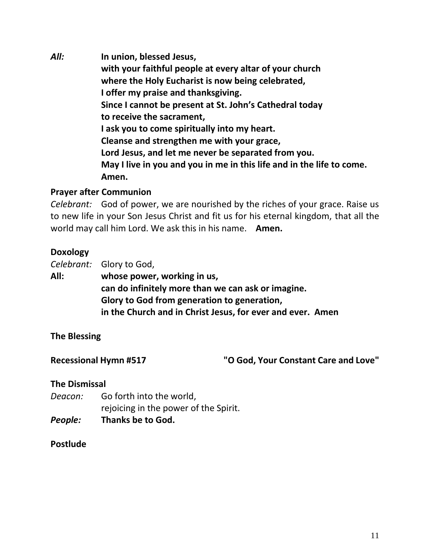*All:* **In union, blessed Jesus, with your faithful people at every altar of your church where the Holy Eucharist is now being celebrated, I offer my praise and thanksgiving. Since I cannot be present at St. John's Cathedral today to receive the sacrament, I ask you to come spiritually into my heart. Cleanse and strengthen me with your grace, Lord Jesus, and let me never be separated from you. May I live in you and you in me in this life and in the life to come. Amen.** 

## **Prayer after Communion**

*Celebrant:* God of power, we are nourished by the riches of your grace. Raise us to new life in your Son Jesus Christ and fit us for his eternal kingdom, that all the world may call him Lord. We ask this in his name. **Amen.**

## **Doxology**

*Celebrant:* Glory to God,

**All: whose power, working in us, can do infinitely more than we can ask or imagine. Glory to God from generation to generation, in the Church and in Christ Jesus, for ever and ever. Amen**

# **The Blessing**

**Recessional Hymn #517 "O God, Your Constant Care and Love"**

#### **The Dismissal**

*Deacon:* Go forth into the world, rejoicing in the power of the Spirit. *People:* **Thanks be to God.** 

#### **Postlude**